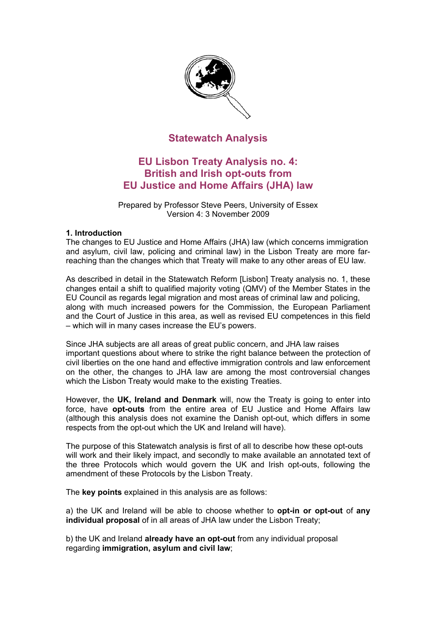

# **Statewatch Analysis**

# **EU Lisbon Treaty Analysis no. 4: British and Irish opt-outs from EU Justice and Home Affairs (JHA) law**

Prepared by Professor Steve Peers, University of Essex Version 4: 3 November 2009

#### **1. Introduction**

The changes to EU Justice and Home Affairs (JHA) law (which concerns immigration and asylum, civil law, policing and criminal law) in the Lisbon Treaty are more farreaching than the changes which that Treaty will make to any other areas of EU law.

As described in detail in the Statewatch Reform [Lisbon] Treaty analysis no. 1, these changes entail a shift to qualified majority voting (QMV) of the Member States in the EU Council as regards legal migration and most areas of criminal law and policing, along with much increased powers for the Commission, the European Parliament and the Court of Justice in this area, as well as revised EU competences in this field – which will in many cases increase the EU's powers.

Since JHA subjects are all areas of great public concern, and JHA law raises important questions about where to strike the right balance between the protection of civil liberties on the one hand and effective immigration controls and law enforcement on the other, the changes to JHA law are among the most controversial changes which the Lisbon Treaty would make to the existing Treaties.

However, the **UK, Ireland and Denmark** will, now the Treaty is going to enter into force, have **opt-outs** from the entire area of EU Justice and Home Affairs law (although this analysis does not examine the Danish opt-out, which differs in some respects from the opt-out which the UK and Ireland will have).

The purpose of this Statewatch analysis is first of all to describe how these opt-outs will work and their likely impact, and secondly to make available an annotated text of the three Protocols which would govern the UK and Irish opt-outs, following the amendment of these Protocols by the Lisbon Treaty.

The **key points** explained in this analysis are as follows:

a) the UK and Ireland will be able to choose whether to **opt-in or opt-out** of **any individual proposal** of in all areas of JHA law under the Lisbon Treaty;

b) the UK and Ireland **already have an opt-out** from any individual proposal regarding **immigration, asylum and civil law**;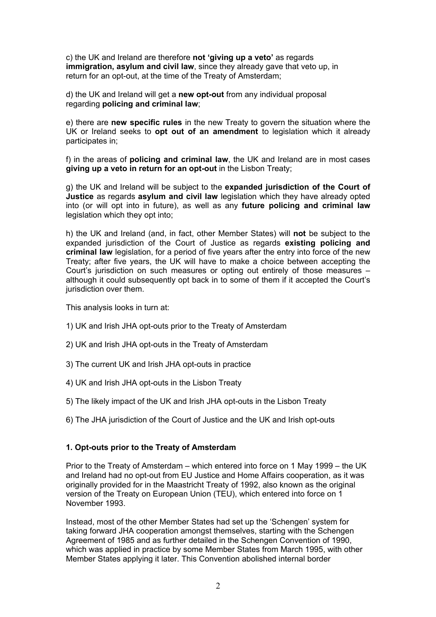c) the UK and Ireland are therefore **not 'giving up a veto'** as regards **immigration, asylum and civil law**, since they already gave that veto up, in return for an opt-out, at the time of the Treaty of Amsterdam;

d) the UK and Ireland will get a **new opt-out** from any individual proposal regarding **policing and criminal law**;

e) there are **new specific rules** in the new Treaty to govern the situation where the UK or Ireland seeks to **opt out of an amendment** to legislation which it already participates in;

f) in the areas of **policing and criminal law**, the UK and Ireland are in most cases **giving up a veto in return for an opt-out** in the Lisbon Treaty;

g) the UK and Ireland will be subject to the **expanded jurisdiction of the Court of Justice** as regards **asylum and civil law** legislation which they have already opted into (or will opt into in future), as well as any **future policing and criminal law**  legislation which they opt into;

h) the UK and Ireland (and, in fact, other Member States) will **not** be subject to the expanded jurisdiction of the Court of Justice as regards **existing policing and criminal law** legislation, for a period of five years after the entry into force of the new Treaty; after five years, the UK will have to make a choice between accepting the Court's jurisdiction on such measures or opting out entirely of those measures – although it could subsequently opt back in to some of them if it accepted the Court's jurisdiction over them.

This analysis looks in turn at:

- 1) UK and Irish JHA opt-outs prior to the Treaty of Amsterdam
- 2) UK and Irish JHA opt-outs in the Treaty of Amsterdam
- 3) The current UK and Irish JHA opt-outs in practice
- 4) UK and Irish JHA opt-outs in the Lisbon Treaty
- 5) The likely impact of the UK and Irish JHA opt-outs in the Lisbon Treaty
- 6) The JHA jurisdiction of the Court of Justice and the UK and Irish opt-outs

#### **1. Opt-outs prior to the Treaty of Amsterdam**

Prior to the Treaty of Amsterdam – which entered into force on 1 May 1999 – the UK and Ireland had no opt-out from EU Justice and Home Affairs cooperation, as it was originally provided for in the Maastricht Treaty of 1992, also known as the original version of the Treaty on European Union (TEU), which entered into force on 1 November 1993.

Instead, most of the other Member States had set up the 'Schengen' system for taking forward JHA cooperation amongst themselves, starting with the Schengen Agreement of 1985 and as further detailed in the Schengen Convention of 1990, which was applied in practice by some Member States from March 1995, with other Member States applying it later. This Convention abolished internal border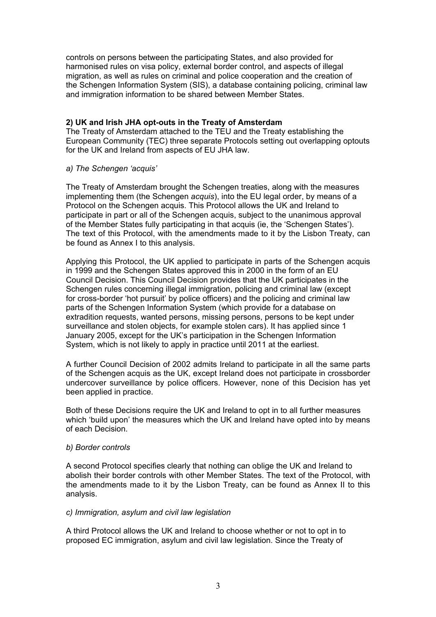controls on persons between the participating States, and also provided for harmonised rules on visa policy, external border control, and aspects of illegal migration, as well as rules on criminal and police cooperation and the creation of the Schengen Information System (SIS), a database containing policing, criminal law and immigration information to be shared between Member States.

## **2) UK and Irish JHA opt-outs in the Treaty of Amsterdam**

The Treaty of Amsterdam attached to the TEU and the Treaty establishing the European Community (TEC) three separate Protocols setting out overlapping optouts for the UK and Ireland from aspects of EU JHA law.

#### *a) The Schengen 'acquis'*

The Treaty of Amsterdam brought the Schengen treaties, along with the measures implementing them (the Schengen *acquis*), into the EU legal order, by means of a Protocol on the Schengen acquis. This Protocol allows the UK and Ireland to participate in part or all of the Schengen acquis, subject to the unanimous approval of the Member States fully participating in that acquis (ie, the 'Schengen States'). The text of this Protocol, with the amendments made to it by the Lisbon Treaty, can be found as Annex I to this analysis.

Applying this Protocol, the UK applied to participate in parts of the Schengen acquis in 1999 and the Schengen States approved this in 2000 in the form of an EU Council Decision. This Council Decision provides that the UK participates in the Schengen rules concerning illegal immigration, policing and criminal law (except for cross-border 'hot pursuit' by police officers) and the policing and criminal law parts of the Schengen Information System (which provide for a database on extradition requests, wanted persons, missing persons, persons to be kept under surveillance and stolen objects, for example stolen cars). It has applied since 1 January 2005, except for the UK's participation in the Schengen Information System, which is not likely to apply in practice until 2011 at the earliest.

A further Council Decision of 2002 admits Ireland to participate in all the same parts of the Schengen acquis as the UK, except Ireland does not participate in crossborder undercover surveillance by police officers. However, none of this Decision has yet been applied in practice.

Both of these Decisions require the UK and Ireland to opt in to all further measures which 'build upon' the measures which the UK and Ireland have opted into by means of each Decision.

#### *b) Border controls*

A second Protocol specifies clearly that nothing can oblige the UK and Ireland to abolish their border controls with other Member States. The text of the Protocol, with the amendments made to it by the Lisbon Treaty, can be found as Annex II to this analysis.

#### *c) Immigration, asylum and civil law legislation*

A third Protocol allows the UK and Ireland to choose whether or not to opt in to proposed EC immigration, asylum and civil law legislation. Since the Treaty of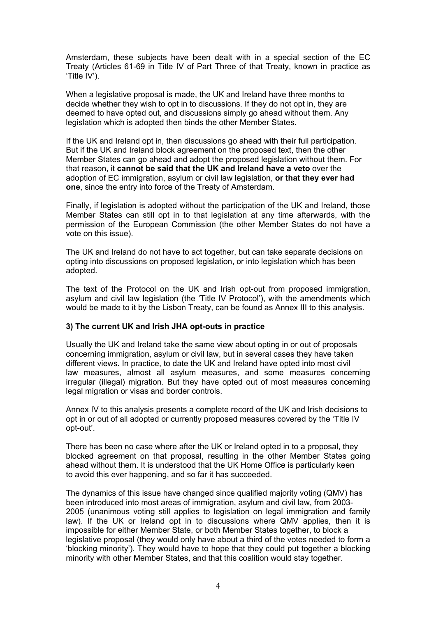Amsterdam, these subjects have been dealt with in a special section of the EC Treaty (Articles 61-69 in Title IV of Part Three of that Treaty, known in practice as 'Title IV').

When a legislative proposal is made, the UK and Ireland have three months to decide whether they wish to opt in to discussions. If they do not opt in, they are deemed to have opted out, and discussions simply go ahead without them. Any legislation which is adopted then binds the other Member States.

If the UK and Ireland opt in, then discussions go ahead with their full participation. But if the UK and Ireland block agreement on the proposed text, then the other Member States can go ahead and adopt the proposed legislation without them. For that reason, it **cannot be said that the UK and Ireland have a veto** over the adoption of EC immigration, asylum or civil law legislation, **or that they ever had one**, since the entry into force of the Treaty of Amsterdam.

Finally, if legislation is adopted without the participation of the UK and Ireland, those Member States can still opt in to that legislation at any time afterwards, with the permission of the European Commission (the other Member States do not have a vote on this issue).

The UK and Ireland do not have to act together, but can take separate decisions on opting into discussions on proposed legislation, or into legislation which has been adopted.

The text of the Protocol on the UK and Irish opt-out from proposed immigration, asylum and civil law legislation (the 'Title IV Protocol'), with the amendments which would be made to it by the Lisbon Treaty, can be found as Annex III to this analysis.

# **3) The current UK and Irish JHA opt-outs in practice**

Usually the UK and Ireland take the same view about opting in or out of proposals concerning immigration, asylum or civil law, but in several cases they have taken different views. In practice, to date the UK and Ireland have opted into most civil law measures, almost all asylum measures, and some measures concerning irregular (illegal) migration. But they have opted out of most measures concerning legal migration or visas and border controls.

Annex IV to this analysis presents a complete record of the UK and Irish decisions to opt in or out of all adopted or currently proposed measures covered by the 'Title IV opt-out'.

There has been no case where after the UK or Ireland opted in to a proposal, they blocked agreement on that proposal, resulting in the other Member States going ahead without them. It is understood that the UK Home Office is particularly keen to avoid this ever happening, and so far it has succeeded.

The dynamics of this issue have changed since qualified majority voting (QMV) has been introduced into most areas of immigration, asylum and civil law, from 2003- 2005 (unanimous voting still applies to legislation on legal immigration and family law). If the UK or Ireland opt in to discussions where QMV applies, then it is impossible for either Member State, or both Member States together, to block a legislative proposal (they would only have about a third of the votes needed to form a 'blocking minority'). They would have to hope that they could put together a blocking minority with other Member States, and that this coalition would stay together.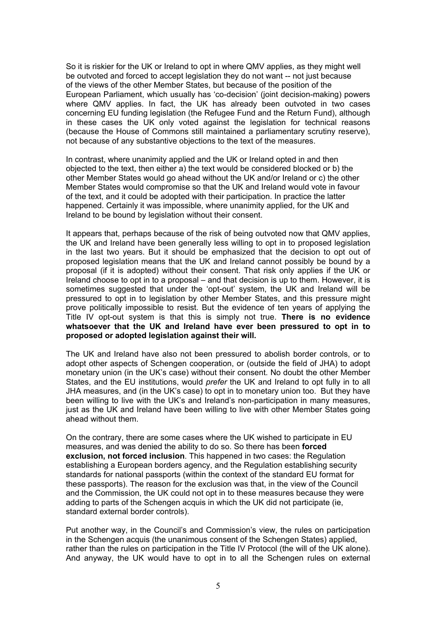So it is riskier for the UK or Ireland to opt in where QMV applies, as they might well be outvoted and forced to accept legislation they do not want -- not just because of the views of the other Member States, but because of the position of the European Parliament, which usually has 'co-decision' (joint decision-making) powers where QMV applies. In fact, the UK has already been outvoted in two cases concerning EU funding legislation (the Refugee Fund and the Return Fund), although in these cases the UK only voted against the legislation for technical reasons (because the House of Commons still maintained a parliamentary scrutiny reserve), not because of any substantive objections to the text of the measures.

In contrast, where unanimity applied and the UK or Ireland opted in and then objected to the text, then either a) the text would be considered blocked or b) the other Member States would go ahead without the UK and/or Ireland or c) the other Member States would compromise so that the UK and Ireland would vote in favour of the text, and it could be adopted with their participation. In practice the latter happened. Certainly it was impossible, where unanimity applied, for the UK and Ireland to be bound by legislation without their consent.

It appears that, perhaps because of the risk of being outvoted now that QMV applies, the UK and Ireland have been generally less willing to opt in to proposed legislation in the last two years. But it should be emphasized that the decision to opt out of proposed legislation means that the UK and Ireland cannot possibly be bound by a proposal (if it is adopted) without their consent. That risk only applies if the UK or Ireland choose to opt in to a proposal – and that decision is up to them. However, it is sometimes suggested that under the 'opt-out' system, the UK and Ireland will be pressured to opt in to legislation by other Member States, and this pressure might prove politically impossible to resist. But the evidence of ten years of applying the Title IV opt-out system is that this is simply not true. **There is no evidence whatsoever that the UK and Ireland have ever been pressured to opt in to proposed or adopted legislation against their will.** 

The UK and Ireland have also not been pressured to abolish border controls, or to adopt other aspects of Schengen cooperation, or (outside the field of JHA) to adopt monetary union (in the UK's case) without their consent. No doubt the other Member States, and the EU institutions, would *prefer* the UK and Ireland to opt fully in to all JHA measures, and (in the UK's case) to opt in to monetary union too. But they have been willing to live with the UK's and Ireland's non-participation in many measures, just as the UK and Ireland have been willing to live with other Member States going ahead without them.

On the contrary, there are some cases where the UK wished to participate in EU measures, and was denied the ability to do so. So there has been **forced exclusion, not forced inclusion**. This happened in two cases: the Regulation establishing a European borders agency, and the Regulation establishing security standards for national passports (within the context of the standard EU format for these passports). The reason for the exclusion was that, in the view of the Council and the Commission, the UK could not opt in to these measures because they were adding to parts of the Schengen acquis in which the UK did not participate (ie, standard external border controls).

Put another way, in the Council's and Commission's view, the rules on participation in the Schengen acquis (the unanimous consent of the Schengen States) applied, rather than the rules on participation in the Title IV Protocol (the will of the UK alone). And anyway, the UK would have to opt in to all the Schengen rules on external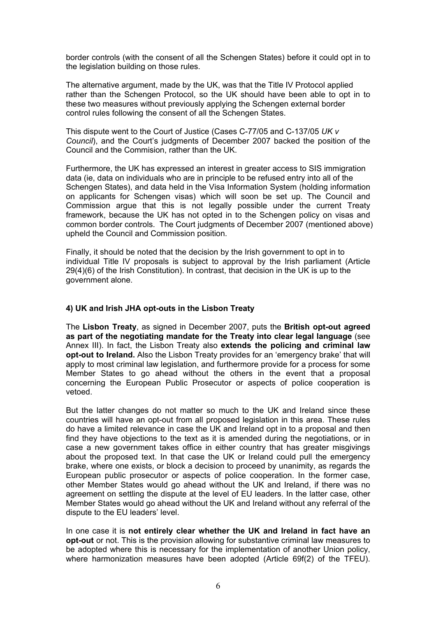border controls (with the consent of all the Schengen States) before it could opt in to the legislation building on those rules.

The alternative argument, made by the UK, was that the Title IV Protocol applied rather than the Schengen Protocol, so the UK should have been able to opt in to these two measures without previously applying the Schengen external border control rules following the consent of all the Schengen States.

This dispute went to the Court of Justice (Cases C-77/05 and C-137/05 *UK v Council*), and the Court's judgments of December 2007 backed the position of the Council and the Commision, rather than the UK.

Furthermore, the UK has expressed an interest in greater access to SIS immigration data (ie, data on individuals who are in principle to be refused entry into all of the Schengen States), and data held in the Visa Information System (holding information on applicants for Schengen visas) which will soon be set up. The Council and Commission argue that this is not legally possible under the current Treaty framework, because the UK has not opted in to the Schengen policy on visas and common border controls. The Court judgments of December 2007 (mentioned above) upheld the Council and Commission position.

Finally, it should be noted that the decision by the Irish government to opt in to individual Title IV proposals is subject to approval by the Irish parliament (Article 29(4)(6) of the Irish Constitution). In contrast, that decision in the UK is up to the government alone.

## **4) UK and Irish JHA opt-outs in the Lisbon Treaty**

The **Lisbon Treaty**, as signed in December 2007, puts the **British opt-out agreed as part of the negotiating mandate for the Treaty into clear legal language** (see Annex III). In fact, the Lisbon Treaty also **extends the policing and criminal law opt-out to Ireland.** Also the Lisbon Treaty provides for an 'emergency brake' that will apply to most criminal law legislation, and furthermore provide for a process for some Member States to go ahead without the others in the event that a proposal concerning the European Public Prosecutor or aspects of police cooperation is vetoed.

But the latter changes do not matter so much to the UK and Ireland since these countries will have an opt-out from all proposed legislation in this area. These rules do have a limited relevance in case the UK and Ireland opt in to a proposal and then find they have objections to the text as it is amended during the negotiations, or in case a new government takes office in either country that has greater misgivings about the proposed text. In that case the UK or Ireland could pull the emergency brake, where one exists, or block a decision to proceed by unanimity, as regards the European public prosecutor or aspects of police cooperation. In the former case, other Member States would go ahead without the UK and Ireland, if there was no agreement on settling the dispute at the level of EU leaders. In the latter case, other Member States would go ahead without the UK and Ireland without any referral of the dispute to the EU leaders' level.

In one case it is **not entirely clear whether the UK and Ireland in fact have an opt-out** or not. This is the provision allowing for substantive criminal law measures to be adopted where this is necessary for the implementation of another Union policy, where harmonization measures have been adopted (Article 69f(2) of the TFEU).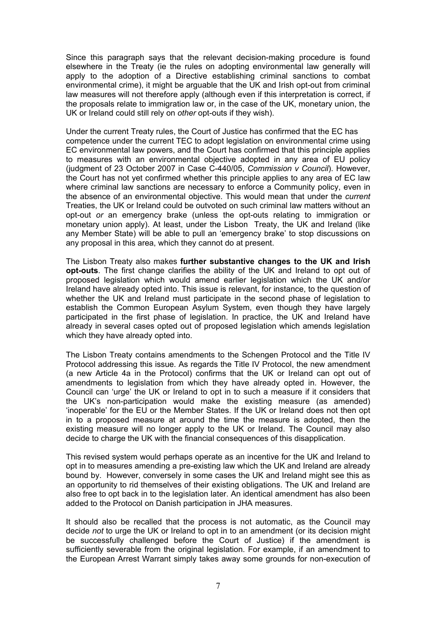Since this paragraph says that the relevant decision-making procedure is found elsewhere in the Treaty (ie the rules on adopting environmental law generally will apply to the adoption of a Directive establishing criminal sanctions to combat environmental crime), it might be arguable that the UK and Irish opt-out from criminal law measures will not therefore apply (although even if this interpretation is correct, if the proposals relate to immigration law or, in the case of the UK, monetary union, the UK or Ireland could still rely on *other* opt-outs if they wish).

Under the current Treaty rules, the Court of Justice has confirmed that the EC has competence under the current TEC to adopt legislation on environmental crime using EC environmental law powers, and the Court has confirmed that this principle applies to measures with an environmental objective adopted in any area of EU policy (judgment of 23 October 2007 in Case C-440/05, *Commission v Council*). However, the Court has not yet confirmed whether this principle applies to any area of EC law where criminal law sanctions are necessary to enforce a Community policy, even in the absence of an environmental objective. This would mean that under the *current*  Treaties, the UK or Ireland could be outvoted on such criminal law matters without an opt-out *or* an emergency brake (unless the opt-outs relating to immigration or monetary union apply). At least, under the Lisbon Treaty, the UK and Ireland (like any Member State) will be able to pull an 'emergency brake' to stop discussions on any proposal in this area, which they cannot do at present.

The Lisbon Treaty also makes **further substantive changes to the UK and Irish opt-outs**. The first change clarifies the ability of the UK and Ireland to opt out of proposed legislation which would amend earlier legislation which the UK and/or Ireland have already opted into. This issue is relevant, for instance, to the question of whether the UK and Ireland must participate in the second phase of legislation to establish the Common European Asylum System, even though they have largely participated in the first phase of legislation. In practice, the UK and Ireland have already in several cases opted out of proposed legislation which amends legislation which they have already opted into.

The Lisbon Treaty contains amendments to the Schengen Protocol and the Title IV Protocol addressing this issue. As regards the Title IV Protocol, the new amendment (a new Article 4a in the Protocol) confirms that the UK or Ireland can opt out of amendments to legislation from which they have already opted in. However, the Council can 'urge' the UK or Ireland to opt in to such a measure if it considers that the UK's non-participation would make the existing measure (as amended) 'inoperable' for the EU or the Member States. If the UK or Ireland does not then opt in to a proposed measure at around the time the measure is adopted, then the existing measure will no longer apply to the UK or Ireland. The Council may also decide to charge the UK with the financial consequences of this disapplication.

This revised system would perhaps operate as an incentive for the UK and Ireland to opt in to measures amending a pre-existing law which the UK and Ireland are already bound by. However, conversely in some cases the UK and Ireland might see this as an opportunity to rid themselves of their existing obligations. The UK and Ireland are also free to opt back in to the legislation later. An identical amendment has also been added to the Protocol on Danish participation in JHA measures.

It should also be recalled that the process is not automatic, as the Council may decide *not* to urge the UK or Ireland to opt in to an amendment (or its decision might be successfully challenged before the Court of Justice) if the amendment is sufficiently severable from the original legislation. For example, if an amendment to the European Arrest Warrant simply takes away some grounds for non-execution of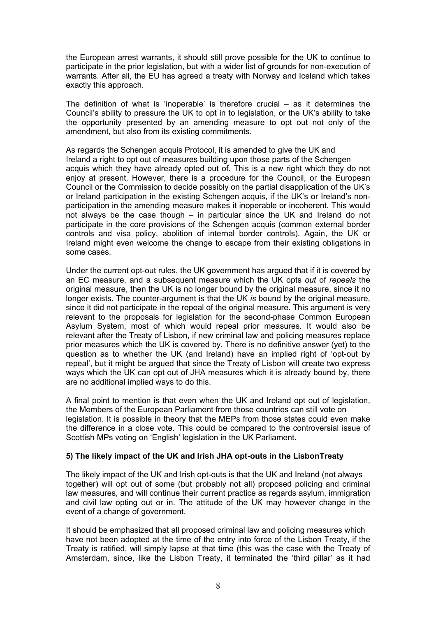the European arrest warrants, it should still prove possible for the UK to continue to participate in the prior legislation, but with a wider list of grounds for non-execution of warrants. After all, the EU has agreed a treaty with Norway and Iceland which takes exactly this approach.

The definition of what is 'inoperable' is therefore crucial – as it determines the Council's ability to pressure the UK to opt in to legislation, or the UK's ability to take the opportunity presented by an amending measure to opt out not only of the amendment, but also from its existing commitments.

As regards the Schengen acquis Protocol, it is amended to give the UK and Ireland a right to opt out of measures building upon those parts of the Schengen acquis which they have already opted out of. This is a new right which they do not enjoy at present. However, there is a procedure for the Council, or the European Council or the Commission to decide possibly on the partial disapplication of the UK's or Ireland participation in the existing Schengen acquis, if the UK's or Ireland's nonparticipation in the amending measure makes it inoperable or incoherent. This would not always be the case though – in particular since the UK and Ireland do not participate in the core provisions of the Schengen acquis (common external border controls and visa policy, abolition of internal border controls). Again, the UK or Ireland might even welcome the change to escape from their existing obligations in some cases.

Under the current opt-out rules, the UK government has argued that if it is covered by an EC measure, and a subsequent measure which the UK opts *out* of *repeals* the original measure, then the UK is no longer bound by the original measure, since it no longer exists. The counter-argument is that the UK *is* bound by the original measure, since it did not participate in the repeal of the original measure. This argument is very relevant to the proposals for legislation for the second-phase Common European Asylum System, most of which would repeal prior measures. It would also be relevant after the Treaty of Lisbon, if new criminal law and policing measures replace prior measures which the UK is covered by. There is no definitive answer (yet) to the question as to whether the UK (and Ireland) have an implied right of 'opt-out by repeal', but it might be argued that since the Treaty of Lisbon will create two express ways which the UK can opt out of JHA measures which it is already bound by, there are no additional implied ways to do this.

A final point to mention is that even when the UK and Ireland opt out of legislation, the Members of the European Parliament from those countries can still vote on legislation. It is possible in theory that the MEPs from those states could even make the difference in a close vote. This could be compared to the controversial issue of Scottish MPs voting on 'English' legislation in the UK Parliament.

# **5) The likely impact of the UK and Irish JHA opt-outs in the LisbonTreaty**

The likely impact of the UK and Irish opt-outs is that the UK and Ireland (not always together) will opt out of some (but probably not all) proposed policing and criminal law measures, and will continue their current practice as regards asylum, immigration and civil law opting out or in. The attitude of the UK may however change in the event of a change of government.

It should be emphasized that all proposed criminal law and policing measures which have not been adopted at the time of the entry into force of the Lisbon Treaty, if the Treaty is ratified, will simply lapse at that time (this was the case with the Treaty of Amsterdam, since, like the Lisbon Treaty, it terminated the 'third pillar' as it had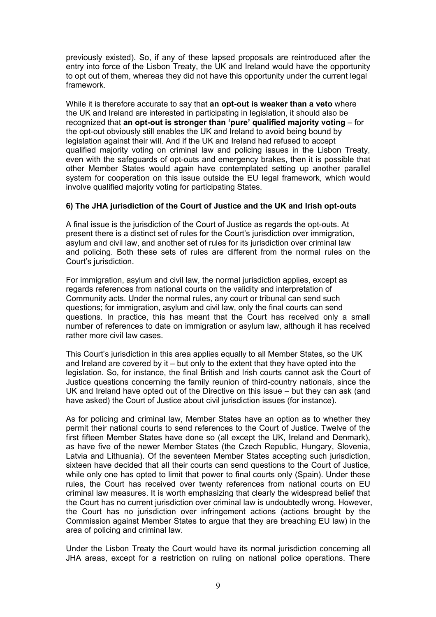previously existed). So, if any of these lapsed proposals are reintroduced after the entry into force of the Lisbon Treaty, the UK and Ireland would have the opportunity to opt out of them, whereas they did not have this opportunity under the current legal framework.

While it is therefore accurate to say that **an opt-out is weaker than a veto** where the UK and Ireland are interested in participating in legislation, it should also be recognized that **an opt-out is stronger than 'pure' qualified majority voting** – for the opt-out obviously still enables the UK and Ireland to avoid being bound by legislation against their will. And if the UK and Ireland had refused to accept qualified majority voting on criminal law and policing issues in the Lisbon Treaty, even with the safeguards of opt-outs and emergency brakes, then it is possible that other Member States would again have contemplated setting up another parallel system for cooperation on this issue outside the EU legal framework, which would involve qualified majority voting for participating States.

# **6) The JHA jurisdiction of the Court of Justice and the UK and Irish opt-outs**

A final issue is the jurisdiction of the Court of Justice as regards the opt-outs. At present there is a distinct set of rules for the Court's jurisdiction over immigration, asylum and civil law, and another set of rules for its jurisdiction over criminal law and policing. Both these sets of rules are different from the normal rules on the Court's jurisdiction.

For immigration, asylum and civil law, the normal jurisdiction applies, except as regards references from national courts on the validity and interpretation of Community acts. Under the normal rules, any court or tribunal can send such questions; for immigration, asylum and civil law, only the final courts can send questions. In practice, this has meant that the Court has received only a small number of references to date on immigration or asylum law, although it has received rather more civil law cases.

This Court's jurisdiction in this area applies equally to all Member States, so the UK and Ireland are covered by it – but only to the extent that they have opted into the legislation. So, for instance, the final British and Irish courts cannot ask the Court of Justice questions concerning the family reunion of third-country nationals, since the UK and Ireland have opted out of the Directive on this issue – but they can ask (and have asked) the Court of Justice about civil jurisdiction issues (for instance).

As for policing and criminal law, Member States have an option as to whether they permit their national courts to send references to the Court of Justice. Twelve of the first fifteen Member States have done so (all except the UK, Ireland and Denmark), as have five of the newer Member States (the Czech Republic, Hungary, Slovenia, Latvia and Lithuania). Of the seventeen Member States accepting such jurisdiction, sixteen have decided that all their courts can send questions to the Court of Justice, while only one has opted to limit that power to final courts only (Spain). Under these rules, the Court has received over twenty references from national courts on EU criminal law measures. It is worth emphasizing that clearly the widespread belief that the Court has no current jurisdiction over criminal law is undoubtedly wrong. However, the Court has no jurisdiction over infringement actions (actions brought by the Commission against Member States to argue that they are breaching EU law) in the area of policing and criminal law.

Under the Lisbon Treaty the Court would have its normal jurisdiction concerning all JHA areas, except for a restriction on ruling on national police operations. There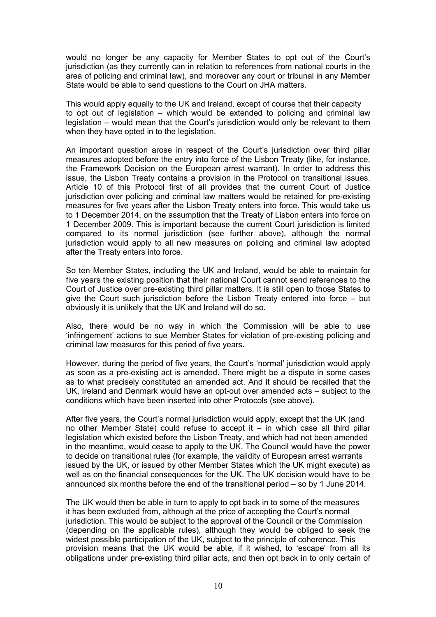would no longer be any capacity for Member States to opt out of the Court's jurisdiction (as they currently can in relation to references from national courts in the area of policing and criminal law), and moreover any court or tribunal in any Member State would be able to send questions to the Court on JHA matters.

This would apply equally to the UK and Ireland, except of course that their capacity to opt out of legislation – which would be extended to policing and criminal law legislation – would mean that the Court's jurisdiction would only be relevant to them when they have opted in to the legislation.

An important question arose in respect of the Court's jurisdiction over third pillar measures adopted before the entry into force of the Lisbon Treaty (like, for instance, the Framework Decision on the European arrest warrant). In order to address this issue, the Lisbon Treaty contains a provision in the Protocol on transitional issues. Article 10 of this Protocol first of all provides that the current Court of Justice jurisdiction over policing and criminal law matters would be retained for pre-existing measures for five years after the Lisbon Treaty enters into force. This would take us to 1 December 2014, on the assumption that the Treaty of Lisbon enters into force on 1 December 2009. This is important because the current Court jurisdiction is limited compared to its normal jurisdiction (see further above), although the normal jurisdiction would apply to all new measures on policing and criminal law adopted after the Treaty enters into force.

So ten Member States, including the UK and Ireland, would be able to maintain for five years the existing position that their national Court cannot send references to the Court of Justice over pre-existing third pillar matters. It is still open to those States to give the Court such jurisdiction before the Lisbon Treaty entered into force – but obviously it is unlikely that the UK and Ireland will do so.

Also, there would be no way in which the Commission will be able to use 'infringement' actions to sue Member States for violation of pre-existing policing and criminal law measures for this period of five years.

However, during the period of five years, the Court's 'normal' jurisdiction would apply as soon as a pre-existing act is amended. There might be a dispute in some cases as to what precisely constituted an amended act. And it should be recalled that the UK, Ireland and Denmark would have an opt-out over amended acts – subject to the conditions which have been inserted into other Protocols (see above).

After five years, the Court's normal jurisdiction would apply, except that the UK (and no other Member State) could refuse to accept it – in which case all third pillar legislation which existed before the Lisbon Treaty, and which had not been amended in the meantime, would cease to apply to the UK. The Council would have the power to decide on transitional rules (for example, the validity of European arrest warrants issued by the UK, or issued by other Member States which the UK might execute) as well as on the financial consequences for the UK. The UK decision would have to be announced six months before the end of the transitional period – so by 1 June 2014.

The UK would then be able in turn to apply to opt back in to some of the measures it has been excluded from, although at the price of accepting the Court's normal jurisdiction. This would be subject to the approval of the Council or the Commission (depending on the applicable rules), although they would be obliged to seek the widest possible participation of the UK, subject to the principle of coherence. This provision means that the UK would be able, if it wished, to 'escape' from all its obligations under pre-existing third pillar acts, and then opt back in to only certain of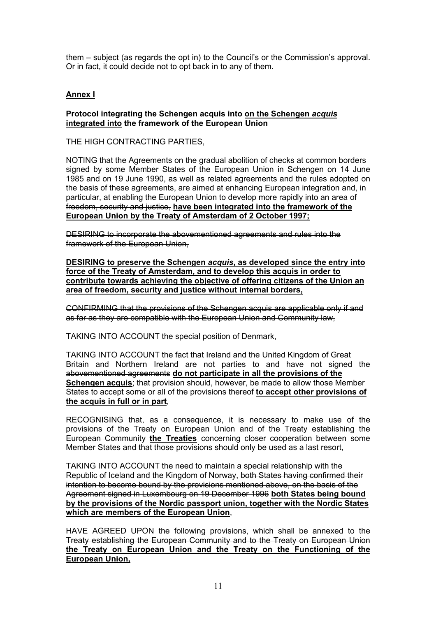them – subject (as regards the opt in) to the Council's or the Commission's approval. Or in fact, it could decide not to opt back in to any of them.

# **Annex I**

## **Protocol integrating the Schengen acquis into on the Schengen** *acquis* **integrated into the framework of the European Union**

THE HIGH CONTRACTING PARTIES,

NOTING that the Agreements on the gradual abolition of checks at common borders signed by some Member States of the European Union in Schengen on 14 June 1985 and on 19 June 1990, as well as related agreements and the rules adopted on the basis of these agreements, are aimed at enhancing European integration and, in particular, at enabling the European Union to develop more rapidly into an area of freedom, security and justice, **have been integrated into the framework of the European Union by the Treaty of Amsterdam of 2 October 1997;**

DESIRING to incorporate the abovementioned agreements and rules into the framework of the European Union,

**DESIRING to preserve the Schengen** *acquis***, as developed since the entry into force of the Treaty of Amsterdam, and to develop this acquis in order to contribute towards achieving the objective of offering citizens of the Union an area of freedom, security and justice without internal borders,**

CONFIRMING that the provisions of the Schengen acquis are applicable only if and as far as they are compatible with the European Union and Community law,

TAKING INTO ACCOUNT the special position of Denmark,

TAKING INTO ACCOUNT the fact that Ireland and the United Kingdom of Great Britain and Northern Ireland are not parties to and have not signed the abovementioned agreements **do not participate in all the provisions of the Schengen acquis**; that provision should, however, be made to allow those Member States to accept some or all of the provisions thereof **to accept other provisions of the acquis in full or in part**,

RECOGNISING that, as a consequence, it is necessary to make use of the provisions of the Treaty on European Union and of the Treaty establishing the European Community **the Treaties** concerning closer cooperation between some Member States and that those provisions should only be used as a last resort,

TAKING INTO ACCOUNT the need to maintain a special relationship with the Republic of Iceland and the Kingdom of Norway, both States having confirmed their intention to become bound by the provisions mentioned above, on the basis of the Agreement signed in Luxembourg on 19 December 1996 **both States being bound by the provisions of the Nordic passport union, together with the Nordic States which are members of the European Union**,

HAVE AGREED UPON the following provisions, which shall be annexed to the Treaty establishing the European Community and to the Treaty on European Union **the Treaty on European Union and the Treaty on the Functioning of the European Union,**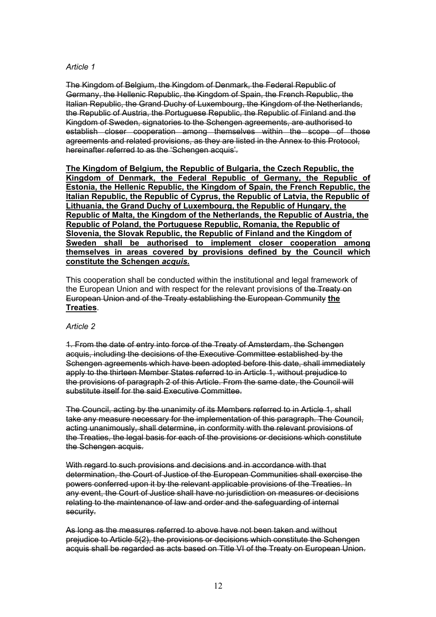# *Article 1*

The Kingdom of Belgium, the Kingdom of Denmark, the Federal Republic of Germany, the Hellenic Republic, the Kingdom of Spain, the French Republic, the Italian Republic, the Grand Duchy of Luxembourg, the Kingdom of the Netherlands, the Republic of Austria, the Portuguese Republic, the Republic of Finland and the Kingdom of Sweden, signatories to the Schengen agreements, are authorised to establish closer cooperation among themselves within the scope of those agreements and related provisions, as they are listed in the Annex to this Protocol, hereinafter referred to as the 'Schengen acquis'.

**The Kingdom of Belgium, the Republic of Bulgaria, the Czech Republic, the Kingdom of Denmark, the Federal Republic of Germany, the Republic of Estonia, the Hellenic Republic, the Kingdom of Spain, the French Republic, the Italian Republic, the Republic of Cyprus, the Republic of Latvia, the Republic of Lithuania, the Grand Duchy of Luxembourg, the Republic of Hungary, the Republic of Malta, the Kingdom of the Netherlands, the Republic of Austria, the Republic of Poland, the Portuguese Republic, Romania, the Republic of Slovenia, the Slovak Republic, the Republic of Finland and the Kingdom of Sweden shall be authorised to implement closer cooperation among themselves in areas covered by provisions defined by the Council which constitute the Schengen** *acquis***.**

This cooperation shall be conducted within the institutional and legal framework of the European Union and with respect for the relevant provisions of the Treaty on European Union and of the Treaty establishing the European Community **the Treaties**.

# *Article 2*

1. From the date of entry into force of the Treaty of Amsterdam, the Schengen acquis, including the decisions of the Executive Committee established by the Schengen agreements which have been adopted before this date, shall immediately apply to the thirteen Member States referred to in Article 1, without prejudice to the provisions of paragraph 2 of this Article. From the same date, the Council will substitute itself for the said Executive Committee.

The Council, acting by the unanimity of its Members referred to in Article 1, shall take any measure necessary for the implementation of this paragraph. The Council, acting unanimously, shall determine, in conformity with the relevant provisions of the Treaties, the legal basis for each of the provisions or decisions which constitute the Schengen acquis.

With regard to such provisions and decisions and in accordance with that determination, the Court of Justice of the European Communities shall exercise the powers conferred upon it by the relevant applicable provisions of the Treaties. In any event, the Court of Justice shall have no jurisdiction on measures or decisions relating to the maintenance of law and order and the safeguarding of internal security.

As long as the measures referred to above have not been taken and without prejudice to Article 5(2), the provisions or decisions which constitute the Schengen acquis shall be regarded as acts based on Title VI of the Treaty on European Union.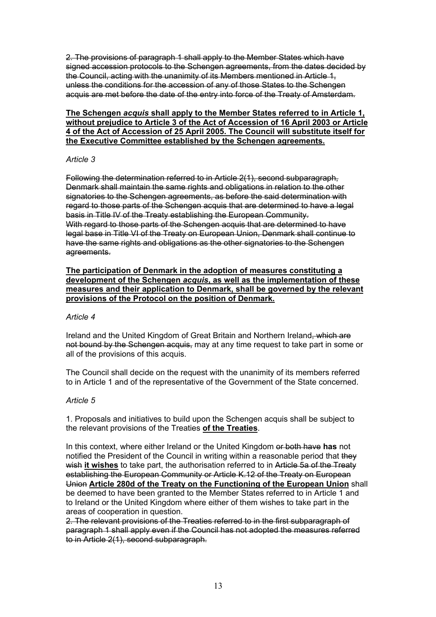2. The provisions of paragraph 1 shall apply to the Member States which have signed accession protocols to the Schengen agreements, from the dates decided by the Council, acting with the unanimity of its Members mentioned in Article 1, unless the conditions for the accession of any of those States to the Schengen acquis are met before the date of the entry into force of the Treaty of Amsterdam.

# **The Schengen** *acquis* **shall apply to the Member States referred to in Article 1, without prejudice to Article 3 of the Act of Accession of 16 April 2003 or Article 4 of the Act of Accession of 25 April 2005. The Council will substitute itself for the Executive Committee established by the Schengen agreements.**

# *Article 3*

Following the determination referred to in Article 2(1), second subparagraph, Denmark shall maintain the same rights and obligations in relation to the other signatories to the Schengen agreements, as before the said determination with regard to those parts of the Schengen acquis that are determined to have a legal basis in Title IV of the Treaty establishing the European Community. With regard to those parts of the Schengen acquis that are determined to have legal base in Title VI of the Treaty on European Union, Denmark shall continue to have the same rights and obligations as the other signatories to the Schengen agreements.

## **The participation of Denmark in the adoption of measures constituting a development of the Schengen** *acquis***, as well as the implementation of these measures and their application to Denmark, shall be governed by the relevant provisions of the Protocol on the position of Denmark.**

# *Article 4*

Ireland and the United Kingdom of Great Britain and Northern Ireland, which are not bound by the Schengen acquis, may at any time request to take part in some or all of the provisions of this acquis.

The Council shall decide on the request with the unanimity of its members referred to in Article 1 and of the representative of the Government of the State concerned.

# *Article 5*

1. Proposals and initiatives to build upon the Schengen acquis shall be subject to the relevant provisions of the Treaties **of the Treaties**.

In this context, where either Ireland or the United Kingdom or both have **has** not notified the President of the Council in writing within a reasonable period that they wish it wishes to take part, the authorisation referred to in Article 5a of the Treaty establishing the European Community or Article K.12 of the Treaty on European Union **Article 280d of the Treaty on the Functioning of the European Union** shall be deemed to have been granted to the Member States referred to in Article 1 and to Ireland or the United Kingdom where either of them wishes to take part in the areas of cooperation in question.

2. The relevant provisions of the Treaties referred to in the first subparagraph of paragraph 1 shall apply even if the Council has not adopted the measures referred to in Article 2(1), second subparagraph.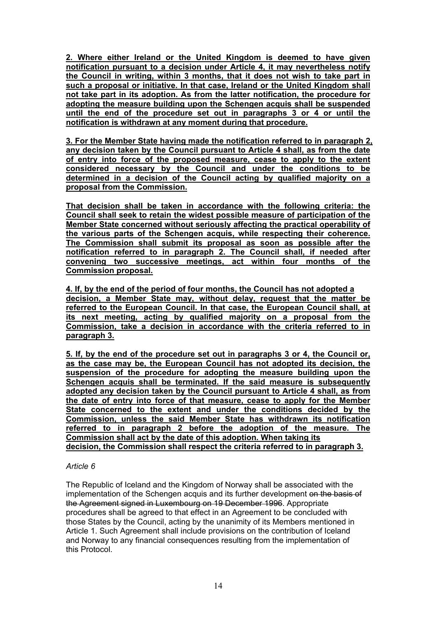**2. Where either Ireland or the United Kingdom is deemed to have given notification pursuant to a decision under Article 4, it may nevertheless notify the Council in writing, within 3 months, that it does not wish to take part in such a proposal or initiative. In that case, Ireland or the United Kingdom shall not take part in its adoption. As from the latter notification, the procedure for adopting the measure building upon the Schengen acquis shall be suspended until the end of the procedure set out in paragraphs 3 or 4 or until the notification is withdrawn at any moment during that procedure.**

**3. For the Member State having made the notification referred to in paragraph 2, any decision taken by the Council pursuant to Article 4 shall, as from the date of entry into force of the proposed measure, cease to apply to the extent considered necessary by the Council and under the conditions to be determined in a decision of the Council acting by qualified majority on a proposal from the Commission.**

**That decision shall be taken in accordance with the following criteria: the Council shall seek to retain the widest possible measure of participation of the Member State concerned without seriously affecting the practical operability of the various parts of the Schengen acquis, while respecting their coherence. The Commission shall submit its proposal as soon as possible after the notification referred to in paragraph 2. The Council shall, if needed after convening two successive meetings, act within four months of the Commission proposal.**

**4. If, by the end of the period of four months, the Council has not adopted a decision, a Member State may, without delay, request that the matter be referred to the European Council. In that case, the European Council shall, at its next meeting, acting by qualified majority on a proposal from the Commission, take a decision in accordance with the criteria referred to in paragraph 3.**

**5. If, by the end of the procedure set out in paragraphs 3 or 4, the Council or, as the case may be, the European Council has not adopted its decision, the suspension of the procedure for adopting the measure building upon the Schengen acquis shall be terminated. If the said measure is subsequently adopted any decision taken by the Council pursuant to Article 4 shall, as from the date of entry into force of that measure, cease to apply for the Member State concerned to the extent and under the conditions decided by the Commission, unless the said Member State has withdrawn its notification referred to in paragraph 2 before the adoption of the measure. The Commission shall act by the date of this adoption. When taking its decision, the Commission shall respect the criteria referred to in paragraph 3.**

# *Article 6*

The Republic of Iceland and the Kingdom of Norway shall be associated with the implementation of the Schengen acquis and its further development on the basis of the Agreement signed in Luxembourg on 19 December 1996. Appropriate procedures shall be agreed to that effect in an Agreement to be concluded with those States by the Council, acting by the unanimity of its Members mentioned in Article 1. Such Agreement shall include provisions on the contribution of Iceland and Norway to any financial consequences resulting from the implementation of this Protocol.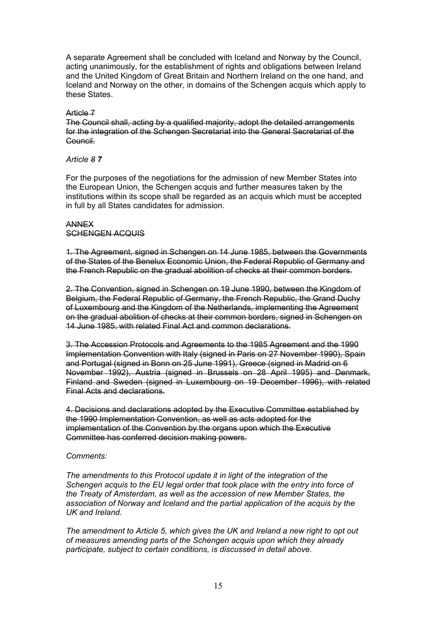A separate Agreement shall be concluded with Iceland and Norway by the Council, acting unanimously, for the establishment of rights and obligations between Ireland and the United Kingdom of Great Britain and Northern Ireland on the one hand, and Iceland and Norway on the other, in domains of the Schengen acquis which apply to these States.

#### Article 7

The Council shall, acting by a qualified majority, adopt the detailed arrangements for the integration of the Schengen Secretariat into the General Secretariat of the Council.

# *Article 8 7*

For the purposes of the negotiations for the admission of new Member States into the European Union, the Schengen acquis and further measures taken by the institutions within its scope shall be regarded as an acquis which must be accepted in full by all States candidates for admission.

#### ANNEX SCHENGEN ACQUIS

1. The Agreement, signed in Schengen on 14 June 1985, between the Governments of the States of the Benelux Economic Union, the Federal Republic of Germany and the French Republic on the gradual abolition of checks at their common borders.

2. The Convention, signed in Schengen on 19 June 1990, between the Kingdom of Belgium, the Federal Republic of Germany, the French Republic, the Grand Duchy of Luxembourg and the Kingdom of the Netherlands, implementing the Agreement on the gradual abolition of checks at their common borders, signed in Schengen on 14 June 1985, with related Final Act and common declarations.

3. The Accession Protocols and Agreements to the 1985 Agreement and the 1990 Implementation Convention with Italy (signed in Paris on 27 November 1990), Spain and Portugal (signed in Bonn on 25 June 1991), Greece (signed in Madrid on 6 November 1992), Austria (signed in Brussels on 28 April 1995) and Denmark, Finland and Sweden (signed in Luxembourg on 19 December 1996), with related Final Acts and declarations.

4. Decisions and declarations adopted by the Executive Committee established by the 1990 Implementation Convention, as well as acts adopted for the implementation of the Convention by the organs upon which the Executive Committee has conferred decision making powers.

# *Comments:*

*The amendments to this Protocol update it in light of the integration of the Schengen acquis to the EU legal order that took place with the entry into force of the Treaty of Amsterdam, as well as the accession of new Member States, the association of Norway and Iceland and the partial application of the acquis by the UK and Ireland.* 

*The amendment to Article 5, which gives the UK and Ireland a new right to opt out of measures amending parts of the Schengen acquis upon which they already participate, subject to certain conditions, is discussed in detail above.*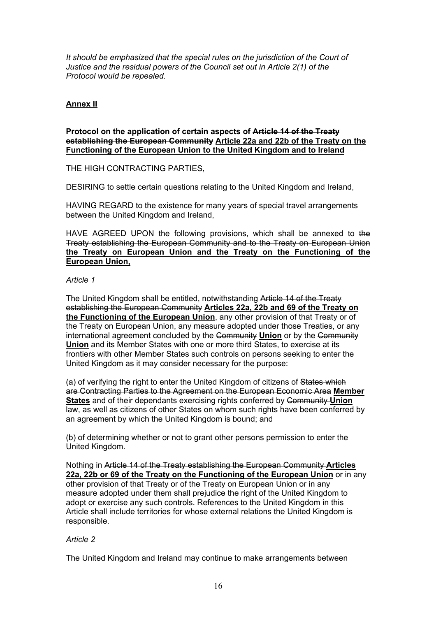*It should be emphasized that the special rules on the jurisdiction of the Court of Justice and the residual powers of the Council set out in Article 2(1) of the Protocol would be repealed.* 

# **Annex II**

#### **Protocol on the application of certain aspects of Article 14 of the Treaty establishing the European Community Article 22a and 22b of the Treaty on the Functioning of the European Union to the United Kingdom and to Ireland**

THE HIGH CONTRACTING PARTIES,

DESIRING to settle certain questions relating to the United Kingdom and Ireland,

HAVING REGARD to the existence for many years of special travel arrangements between the United Kingdom and Ireland,

HAVE AGREED UPON the following provisions, which shall be annexed to the Treaty establishing the European Community and to the Treaty on European Union **the Treaty on European Union and the Treaty on the Functioning of the European Union,**

#### *Article 1*

The United Kingdom shall be entitled, notwithstanding Article 14 of the Treaty establishing the European Community **Articles 22a, 22b and 69 of the Treaty on the Functioning of the European Union**, any other provision of that Treaty or of the Treaty on European Union, any measure adopted under those Treaties, or any international agreement concluded by the Community **Union** or by the Community **Union** and its Member States with one or more third States, to exercise at its frontiers with other Member States such controls on persons seeking to enter the United Kingdom as it may consider necessary for the purpose:

(a) of verifying the right to enter the United Kingdom of citizens of States which are Contracting Parties to the Agreement on the European Economic Area **Member States** and of their dependants exercising rights conferred by Community **Union** law, as well as citizens of other States on whom such rights have been conferred by an agreement by which the United Kingdom is bound; and

(b) of determining whether or not to grant other persons permission to enter the United Kingdom.

Nothing in Article 14 of the Treaty establishing the European Community **Articles 22a, 22b or 69 of the Treaty on the Functioning of the European Union** or in any other provision of that Treaty or of the Treaty on European Union or in any measure adopted under them shall prejudice the right of the United Kingdom to adopt or exercise any such controls. References to the United Kingdom in this Article shall include territories for whose external relations the United Kingdom is responsible.

# *Article 2*

The United Kingdom and Ireland may continue to make arrangements between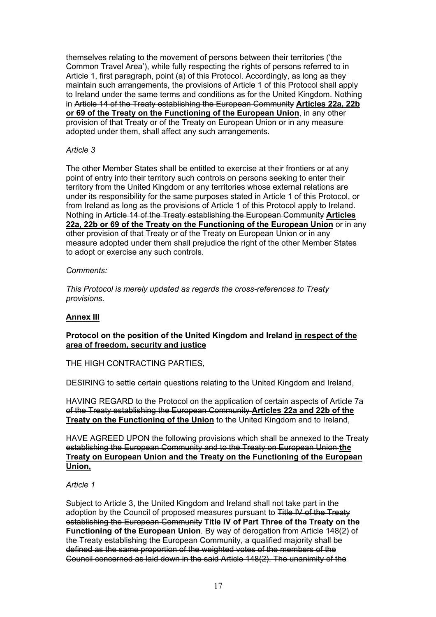themselves relating to the movement of persons between their territories ('the Common Travel Area'), while fully respecting the rights of persons referred to in Article 1, first paragraph, point (a) of this Protocol. Accordingly, as long as they maintain such arrangements, the provisions of Article 1 of this Protocol shall apply to Ireland under the same terms and conditions as for the United Kingdom. Nothing in Article 14 of the Treaty establishing the European Community **Articles 22a, 22b or 69 of the Treaty on the Functioning of the European Union**, in any other provision of that Treaty or of the Treaty on European Union or in any measure adopted under them, shall affect any such arrangements.

# *Article 3*

The other Member States shall be entitled to exercise at their frontiers or at any point of entry into their territory such controls on persons seeking to enter their territory from the United Kingdom or any territories whose external relations are under its responsibility for the same purposes stated in Article 1 of this Protocol, or from Ireland as long as the provisions of Article 1 of this Protocol apply to Ireland. Nothing in Article 14 of the Treaty establishing the European Community **Articles 22a, 22b or 69 of the Treaty on the Functioning of the European Union** or in any other provision of that Treaty or of the Treaty on European Union or in any measure adopted under them shall prejudice the right of the other Member States to adopt or exercise any such controls.

## *Comments:*

*This Protocol is merely updated as regards the cross-references to Treaty provisions.* 

# **Annex III**

# **Protocol on the position of the United Kingdom and Ireland in respect of the area of freedom, security and justice**

THE HIGH CONTRACTING PARTIES,

DESIRING to settle certain questions relating to the United Kingdom and Ireland,

HAVING REGARD to the Protocol on the application of certain aspects of Article 7a of the Treaty establishing the European Community **Articles 22a and 22b of the Treaty on the Functioning of the Union** to the United Kingdom and to Ireland,

HAVE AGREED UPON the following provisions which shall be annexed to the Treaty establishing the European Community and to the Treaty on European Union **the Treaty on European Union and the Treaty on the Functioning of the European Union,**

# *Article 1*

Subject to Article 3, the United Kingdom and Ireland shall not take part in the adoption by the Council of proposed measures pursuant to Title IV of the Treaty establishing the European Community **Title IV of Part Three of the Treaty on the Functioning of the European Union**. By way of derogation from Article 148(2) of the Treaty establishing the European Community, a qualified majority shall be defined as the same proportion of the weighted votes of the members of the Council concerned as laid down in the said Article 148(2). The unanimity of the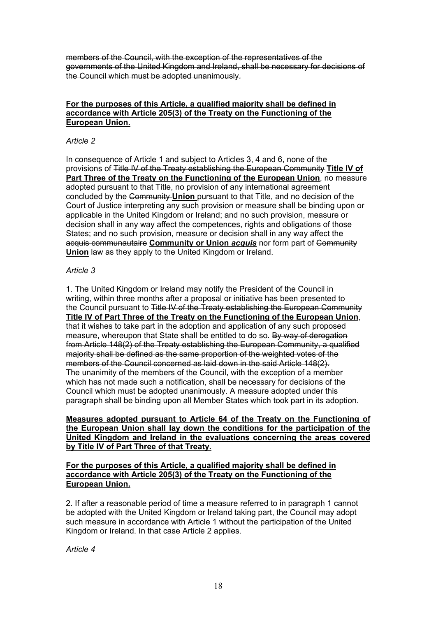members of the Council, with the exception of the representatives of the governments of the United Kingdom and Ireland, shall be necessary for decisions of the Council which must be adopted unanimously.

## **For the purposes of this Article, a qualified majority shall be defined in accordance with Article 205(3) of the Treaty on the Functioning of the European Union.**

#### *Article 2*

In consequence of Article 1 and subject to Articles 3, 4 and 6, none of the provisions of Title IV of the Treaty establishing the European Community **Title IV of Part Three of the Treaty on the Functioning of the European Union**, no measure adopted pursuant to that Title, no provision of any international agreement concluded by the Community **Union** pursuant to that Title, and no decision of the Court of Justice interpreting any such provision or measure shall be binding upon or applicable in the United Kingdom or Ireland; and no such provision, measure or decision shall in any way affect the competences, rights and obligations of those States; and no such provision, measure or decision shall in any way affect the acquis communautaire **Community or Union** *acquis* nor form part of Community **Union** law as they apply to the United Kingdom or Ireland.

# *Article 3*

1. The United Kingdom or Ireland may notify the President of the Council in writing, within three months after a proposal or initiative has been presented to the Council pursuant to Title IV of the Treaty establishing the European Community **Title IV of Part Three of the Treaty on the Functioning of the European Union**, that it wishes to take part in the adoption and application of any such proposed measure, whereupon that State shall be entitled to do so. By way of derogation from Article 148(2) of the Treaty establishing the European Community, a qualified majority shall be defined as the same proportion of the weighted votes of the members of the Council concerned as laid down in the said Article 148(2). The unanimity of the members of the Council, with the exception of a member which has not made such a notification, shall be necessary for decisions of the Council which must be adopted unanimously. A measure adopted under this paragraph shall be binding upon all Member States which took part in its adoption.

**Measures adopted pursuant to Article 64 of the Treaty on the Functioning of the European Union shall lay down the conditions for the participation of the United Kingdom and Ireland in the evaluations concerning the areas covered by Title IV of Part Three of that Treaty.**

## **For the purposes of this Article, a qualified majority shall be defined in accordance with Article 205(3) of the Treaty on the Functioning of the European Union.**

2. If after a reasonable period of time a measure referred to in paragraph 1 cannot be adopted with the United Kingdom or Ireland taking part, the Council may adopt such measure in accordance with Article 1 without the participation of the United Kingdom or Ireland. In that case Article 2 applies.

*Article 4*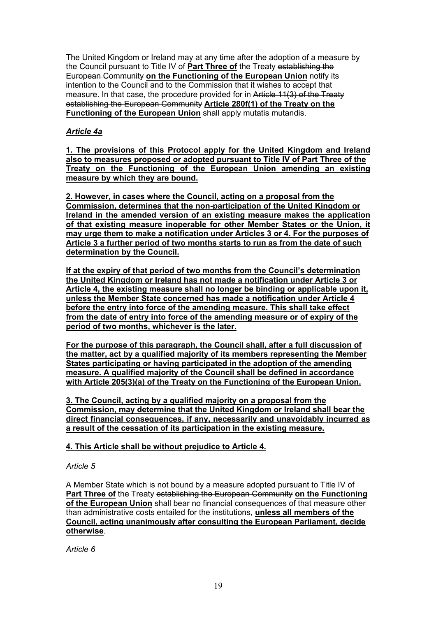The United Kingdom or Ireland may at any time after the adoption of a measure by the Council pursuant to Title IV of **Part Three of** the Treaty establishing the European Community **on the Functioning of the European Union** notify its intention to the Council and to the Commission that it wishes to accept that measure. In that case, the procedure provided for in Article 11(3) of the Treaty establishing the European Community **Article 280f(1) of the Treaty on the Functioning of the European Union** shall apply mutatis mutandis.

# *Article 4a*

**1. The provisions of this Protocol apply for the United Kingdom and Ireland also to measures proposed or adopted pursuant to Title IV of Part Three of the Treaty on the Functioning of the European Union amending an existing measure by which they are bound.**

**2. However, in cases where the Council, acting on a proposal from the Commission, determines that the non-participation of the United Kingdom or Ireland in the amended version of an existing measure makes the application of that existing measure inoperable for other Member States or the Union, it may urge them to make a notification under Articles 3 or 4. For the purposes of Article 3 a further period of two months starts to run as from the date of such determination by the Council.**

**If at the expiry of that period of two months from the Council's determination the United Kingdom or Ireland has not made a notification under Article 3 or Article 4, the existing measure shall no longer be binding or applicable upon it, unless the Member State concerned has made a notification under Article 4 before the entry into force of the amending measure. This shall take effect from the date of entry into force of the amending measure or of expiry of the period of two months, whichever is the later.**

**For the purpose of this paragraph, the Council shall, after a full discussion of the matter, act by a qualified majority of its members representing the Member States participating or having participated in the adoption of the amending measure. A qualified majority of the Council shall be defined in accordance with Article 205(3)(a) of the Treaty on the Functioning of the European Union.**

**3. The Council, acting by a qualified majority on a proposal from the Commission, may determine that the United Kingdom or Ireland shall bear the direct financial consequences, if any, necessarily and unavoidably incurred as a result of the cessation of its participation in the existing measure.**

# **4. This Article shall be without prejudice to Article 4.**

# *Article 5*

A Member State which is not bound by a measure adopted pursuant to Title IV of **Part Three of** the Treaty establishing the European Community **on the Functioning of the European Union** shall bear no financial consequences of that measure other than administrative costs entailed for the institutions, **unless all members of the Council, acting unanimously after consulting the European Parliament, decide otherwise**.

*Article 6*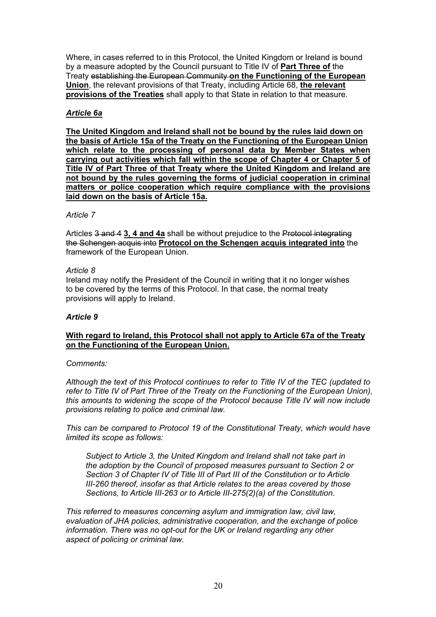Where, in cases referred to in this Protocol, the United Kingdom or Ireland is bound by a measure adopted by the Council pursuant to Title IV of **Part Three of** the Treaty establishing the European Community **on the Functioning of the European Union**, the relevant provisions of that Treaty, including Article 68, **the relevant provisions of the Treaties** shall apply to that State in relation to that measure.

# *Article 6a*

**The United Kingdom and Ireland shall not be bound by the rules laid down on the basis of Article 15a of the Treaty on the Functioning of the European Union which relate to the processing of personal data by Member States when carrying out activities which fall within the scope of Chapter 4 or Chapter 5 of Title IV of Part Three of that Treaty where the United Kingdom and Ireland are not bound by the rules governing the forms of judicial cooperation in criminal matters or police cooperation which require compliance with the provisions laid down on the basis of Article 15a.**

#### *Article 7*

Articles 3 and 4 **3, 4 and 4a** shall be without prejudice to the Protocol integrating the Schengen acquis into **Protocol on the Schengen acquis integrated into** the framework of the European Union.

#### *Article 8*

Ireland may notify the President of the Council in writing that it no longer wishes to be covered by the terms of this Protocol. In that case, the normal treaty provisions will apply to Ireland.

# *Article 9*

# **With regard to Ireland, this Protocol shall not apply to Article 67a of the Treaty on the Functioning of the European Union.**

#### *Comments:*

*Although the text of this Protocol continues to refer to Title IV of the TEC (updated to refer to Title IV of Part Three of the Treaty on the Functioning of the European Union), this amounts to widening the scope of the Protocol because Title IV will now include provisions relating to police and criminal law.* 

*This can be compared to Protocol 19 of the Constitutional Treaty, which would have limited its scope as follows:* 

*Subject to Article 3, the United Kingdom and Ireland shall not take part in the adoption by the Council of proposed measures pursuant to Section 2 or Section 3 of Chapter IV of Title III of Part III of the Constitution or to Article III-260 thereof, insofar as that Article relates to the areas covered by those Sections, to Article III-263 or to Article III-275(2)(a) of the Constitution.* 

*This referred to measures concerning asylum and immigration law, civil law, evaluation of JHA policies, administrative cooperation, and the exchange of police information. There was no opt-out for the UK or Ireland regarding any other aspect of policing or criminal law.*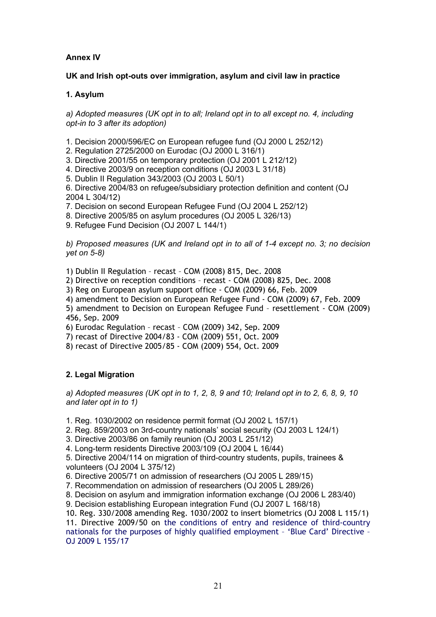# **Annex IV**

# **UK and Irish opt-outs over immigration, asylum and civil law in practice**

# **1. Asylum**

*a) Adopted measures (UK opt in to all; Ireland opt in to all except no. 4, including opt-in to 3 after its adoption)* 

- 1. Decision 2000/596/EC on European refugee fund (OJ 2000 L 252/12)
- 2. Regulation 2725/2000 on Eurodac (OJ 2000 L 316/1)
- 3. Directive 2001/55 on temporary protection (OJ 2001 L 212/12)
- 4. Directive 2003/9 on reception conditions (OJ 2003 L 31/18)
- 5. Dublin II Regulation 343/2003 (OJ 2003 L 50/1)

6. Directive 2004/83 on refugee/subsidiary protection definition and content (OJ 2004 L 304/12)

7. Decision on second European Refugee Fund (OJ 2004 L 252/12)

8. Directive 2005/85 on asylum procedures (OJ 2005 L 326/13)

9. Refugee Fund Decision (OJ 2007 L 144/1)

*b) Proposed measures (UK and Ireland opt in to all of 1-4 except no. 3; no decision yet on 5-8)* 

1) Dublin II Regulation – recast – COM (2008) 815, Dec. 2008

2) Directive on reception conditions – recast - COM (2008) 825, Dec. 2008

- 3) Reg on European asylum support office COM (2009) 66, Feb. 2009
- 4) amendment to Decision on European Refugee Fund COM (2009) 67, Feb. 2009

5) amendment to Decision on European Refugee Fund – resettlement - COM (2009) 456, Sep. 2009

6) Eurodac Regulation – recast – COM (2009) 342, Sep. 2009

7) recast of Directive 2004/83 - COM (2009) 551, Oct. 2009

8) recast of Directive 2005/85 - COM (2009) 554, Oct. 2009

# **2. Legal Migration**

*a) Adopted measures (UK opt in to 1, 2, 8, 9 and 10; Ireland opt in to 2, 6, 8, 9, 10 and later opt in to 1)* 

1. Reg. 1030/2002 on residence permit format (OJ 2002 L 157/1)

- 2. Reg. 859/2003 on 3rd-country nationals' social security (OJ 2003 L 124/1)
- 3. Directive 2003/86 on family reunion (OJ 2003 L 251/12)
- 4. Long-term residents Directive 2003/109 (OJ 2004 L 16/44)

5. Directive 2004/114 on migration of third-country students, pupils, trainees & volunteers (OJ 2004 L 375/12)

6. Directive 2005/71 on admission of researchers (OJ 2005 L 289/15)

7. Recommendation on admission of researchers (OJ 2005 L 289/26)

8. Decision on asylum and immigration information exchange (OJ 2006 L 283/40)

9. Decision establishing European integration Fund (OJ 2007 L 168/18)

10. Reg. 330/2008 amending Reg. 1030/2002 to insert biometrics (OJ 2008 L 115/1)

11. Directive 2009/50 on the conditions of entry and residence of third-country nationals for the purposes of highly qualified employment – 'Blue Card' Directive – OJ 2009 L 155/17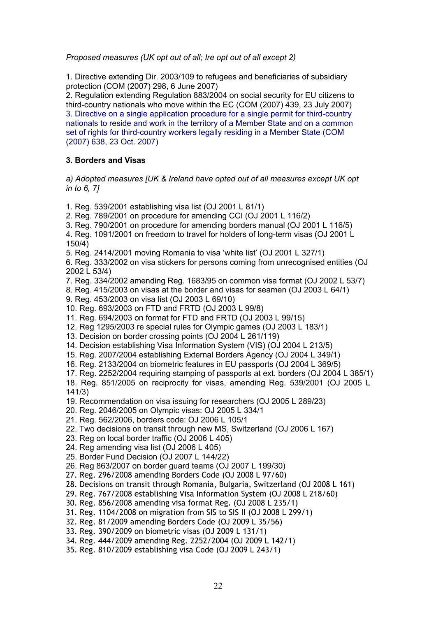*Proposed measures (UK opt out of all; Ire opt out of all except 2)* 

1. Directive extending Dir. 2003/109 to refugees and beneficiaries of subsidiary protection (COM (2007) 298, 6 June 2007)

2. Regulation extending Regulation 883/2004 on social security for EU citizens to third-country nationals who move within the EC (COM (2007) 439, 23 July 2007) 3. Directive on a single application procedure for a single permit for third-country nationals to reside and work in the territory of a Member State and on a common set of rights for third-country workers legally residing in a Member State (COM (2007) 638, 23 Oct. 2007)

# **3. Borders and Visas**

*a) Adopted measures [UK & Ireland have opted out of all measures except UK opt in to 6, 7]* 

- 1. Reg. 539/2001 establishing visa list (OJ 2001 L 81/1)
- 2. Reg. 789/2001 on procedure for amending CCI (OJ 2001 L 116/2)
- 3. Reg. 790/2001 on procedure for amending borders manual (OJ 2001 L 116/5)
- 4. Reg. 1091/2001 on freedom to travel for holders of long-term visas (OJ 2001 L 150/4)
- 5. Reg. 2414/2001 moving Romania to visa 'white list' (OJ 2001 L 327/1)

6. Reg. 333/2002 on visa stickers for persons coming from unrecognised entities (OJ 2002 L 53/4)

- 7. Reg. 334/2002 amending Reg. 1683/95 on common visa format (OJ 2002 L 53/7)
- 8. Reg. 415/2003 on visas at the border and visas for seamen (OJ 2003 L 64/1)
- 9. Reg. 453/2003 on visa list (OJ 2003 L 69/10)
- 10. Reg. 693/2003 on FTD and FRTD (OJ 2003 L 99/8)
- 11. Reg. 694/2003 on format for FTD and FRTD (OJ 2003 L 99/15)
- 12. Reg 1295/2003 re special rules for Olympic games (OJ 2003 L 183/1)
- 13. Decision on border crossing points (OJ 2004 L 261/119)
- 14. Decision establishing Visa Information System (VIS) (OJ 2004 L 213/5)
- 15. Reg. 2007/2004 establishing External Borders Agency (OJ 2004 L 349/1)
- 16. Reg. 2133/2004 on biometric features in EU passports (OJ 2004 L 369/5)
- 17. Reg. 2252/2004 requiring stamping of passports at ext. borders (OJ 2004 L 385/1)

18. Reg. 851/2005 on reciprocity for visas, amending Reg. 539/2001 (OJ 2005 L 141/3)

19. Recommendation on visa issuing for researchers (OJ 2005 L 289/23)

- 20. Reg. 2046/2005 on Olympic visas: OJ 2005 L 334/1
- 21. Reg. 562/2006, borders code: OJ 2006 L 105/1
- 22. Two decisions on transit through new MS, Switzerland (OJ 2006 L 167)
- 23. Reg on local border traffic (OJ 2006 L 405)
- 24. Reg amending visa list (OJ 2006 L 405)
- 25. Border Fund Decision (OJ 2007 L 144/22)
- 26. Reg 863/2007 on border guard teams (OJ 2007 L 199/30)
- 27. Reg. 296/2008 amending Borders Code (OJ 2008 L 97/60)
- 28. Decisions on transit through Romania, Bulgaria, Switzerland (OJ 2008 L 161)
- 29. Reg. 767/2008 establishing Visa Information System (OJ 2008 L 218/60)
- 30. Reg. 856/2008 amending visa format Reg. (OJ 2008 L 235/1)
- 31. Reg. 1104/2008 on migration from SIS to SIS II (OJ 2008 L 299/1)
- 32. Reg. 81/2009 amending Borders Code (OJ 2009 L 35/56)
- 33. Reg. 390/2009 on biometric visas (OJ 2009 L 131/1)
- 34. Reg. 444/2009 amending Reg. 2252/2004 (OJ 2009 L 142/1)
- 35. Reg. 810/2009 establishing visa Code (OJ 2009 L 243/1)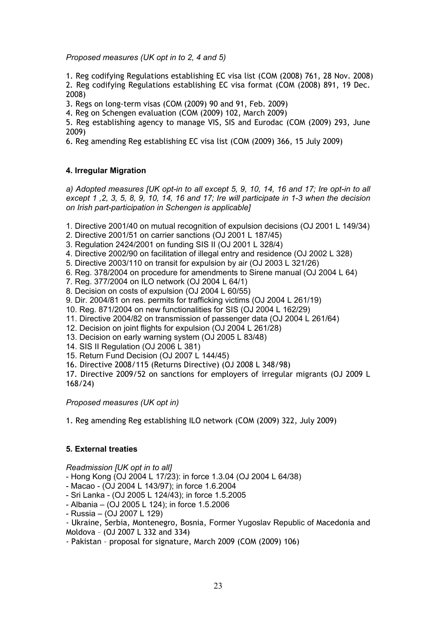*Proposed measures (UK opt in to 2, 4 and 5)* 

1. Reg codifying Regulations establishing EC visa list (COM (2008) 761, 28 Nov. 2008) 2*.* Reg codifying Regulations establishing EC visa format (COM (2008) 891, 19 Dec. 2008)

3. Regs on long-term visas (COM (2009) 90 and 91, Feb. 2009)

4. Reg on Schengen evaluation (COM (2009) 102, March 2009)

5. Reg establishing agency to manage VIS, SIS and Eurodac (COM (2009) 293, June 2009)

6. Reg amending Reg establishing EC visa list (COM (2009) 366, 15 July 2009)

# **4. Irregular Migration**

*a) Adopted measures [UK opt-in to all except 5, 9, 10, 14, 16 and 17; Ire opt-in to all except 1 ,2, 3, 5, 8, 9, 10, 14, 16 and 17; Ire will participate in 1-3 when the decision on Irish part-participation in Schengen is applicable]* 

1. Directive 2001/40 on mutual recognition of expulsion decisions (OJ 2001 L 149/34)

- 2. Directive 2001/51 on carrier sanctions (OJ 2001 L 187/45)
- 3. Regulation 2424/2001 on funding SIS II (OJ 2001 L 328/4)
- 4. Directive 2002/90 on facilitation of illegal entry and residence (OJ 2002 L 328)
- 5. Directive 2003/110 on transit for expulsion by air (OJ 2003 L 321/26)
- 6. Reg. 378/2004 on procedure for amendments to Sirene manual (OJ 2004 L 64)
- 7. Reg. 377/2004 on ILO network (OJ 2004 L 64/1)
- 8. Decision on costs of expulsion (OJ 2004 L 60/55)
- 9. Dir. 2004/81 on res. permits for trafficking victims (OJ 2004 L 261/19)

10. Reg. 871/2004 on new functionalities for SIS (OJ 2004 L 162/29)

- 11. Directive 2004/82 on transmission of passenger data (OJ 2004 L 261/64)
- 12. Decision on joint flights for expulsion (OJ 2004 L 261/28)
- 13. Decision on early warning system (OJ 2005 L 83/48)
- 14. SIS II Regulation (OJ 2006 L 381)
- 15. Return Fund Decision (OJ 2007 L 144/45)

16. Directive 2008/115 (Returns Directive) (OJ 2008 L 348/98)

17. Directive 2009/52 on sanctions for employers of irregular migrants (OJ 2009 L 168/24)

# *Proposed measures (UK opt in)*

1. Reg amending Reg establishing ILO network (COM (2009) 322, July 2009)

# **5. External treaties**

*Readmission [UK opt in to all]* 

- Hong Kong (OJ 2004 L 17/23): in force 1.3.04 (OJ 2004 L 64/38)

- Macao (OJ 2004 L 143/97); in force 1.6.2004
- Sri Lanka (OJ 2005 L 124/43); in force 1.5.2005
- Albania (OJ 2005 L 124); in force 1.5.2006
- Russia (OJ 2007 L 129)
- Ukraine, Serbia, Montenegro, Bosnia, Former Yugoslav Republic of Macedonia and Moldova – (OJ 2007 L 332 and 334)

- Pakistan – proposal for signature, March 2009 (COM (2009) 106)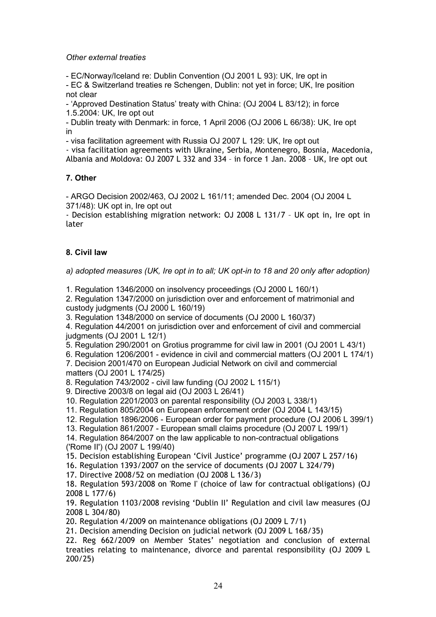*Other external treaties* 

- EC/Norway/Iceland re: Dublin Convention (OJ 2001 L 93): UK, Ire opt in

- EC & Switzerland treaties re Schengen, Dublin: not yet in force; UK, Ire position not clear

- 'Approved Destination Status' treaty with China: (OJ 2004 L 83/12); in force 1.5.2004: UK, Ire opt out

- Dublin treaty with Denmark: in force, 1 April 2006 (OJ 2006 L 66/38): UK, Ire opt in

- visa facilitation agreement with Russia OJ 2007 L 129: UK, Ire opt out

- visa facilitation agreements with Ukraine, Serbia, Montenegro, Bosnia, Macedonia, Albania and Moldova: OJ 2007 L 332 and 334 – in force 1 Jan. 2008 – UK, Ire opt out

# **7. Other**

- ARGO Decision 2002/463, OJ 2002 L 161/11; amended Dec. 2004 (OJ 2004 L 371/48): UK opt in, Ire opt out

- Decision establishing migration network: OJ 2008 L 131/7 – UK opt in, Ire opt in later

# **8. Civil law**

*a) adopted measures (UK, Ire opt in to all; UK opt-in to 18 and 20 only after adoption)* 

1. Regulation 1346/2000 on insolvency proceedings (OJ 2000 L 160/1)

2. Regulation 1347/2000 on jurisdiction over and enforcement of matrimonial and custody judgments (OJ 2000 L 160/19)

3. Regulation 1348/2000 on service of documents (OJ 2000 L 160/37)

4. Regulation 44/2001 on jurisdiction over and enforcement of civil and commercial judgments (OJ 2001 L 12/1)

5. Regulation 290/2001 on Grotius programme for civil law in 2001 (OJ 2001 L 43/1)

6. Regulation 1206/2001 - evidence in civil and commercial matters (OJ 2001 L 174/1)

7. Decision 2001/470 on European Judicial Network on civil and commercial matters (OJ 2001 L 174/25)

8. Regulation 743/2002 - civil law funding (OJ 2002 L 115/1)

9. Directive 2003/8 on legal aid (OJ 2003 L 26/41)

10. Regulation 2201/2003 on parental responsibility (OJ 2003 L 338/1)

11. Regulation 805/2004 on European enforcement order (OJ 2004 L 143/15)

12. Regulation 1896/2006 - European order for payment procedure (OJ 2006 L 399/1)

13. Regulation 861/2007 - European small claims procedure (OJ 2007 L 199/1)

14. Regulation 864/2007 on the law applicable to non-contractual obligations

('Rome II') (OJ 2007 L 199/40)

15. Decision establishing European 'Civil Justice' programme (OJ 2007 L 257/16)

16. Regulation 1393/2007 on the service of documents (OJ 2007 L 324/79)

17. Directive 2008/52 on mediation (OJ 2008 L 136/3)

18. Regulation 593/2008 on 'Rome I' (choice of law for contractual obligations) (OJ 2008 L 177/6)

19. Regulation 1103/2008 revising 'Dublin II' Regulation and civil law measures (OJ 2008 L 304/80)

20. Regulation 4/2009 on maintenance obligations (OJ 2009 L 7/1)

21. Decision amending Decision on judicial network (OJ 2009 L 168/35)

22. Reg 662/2009 on Member States' negotiation and conclusion of external treaties relating to maintenance, divorce and parental responsibility (OJ 2009 L 200/25)